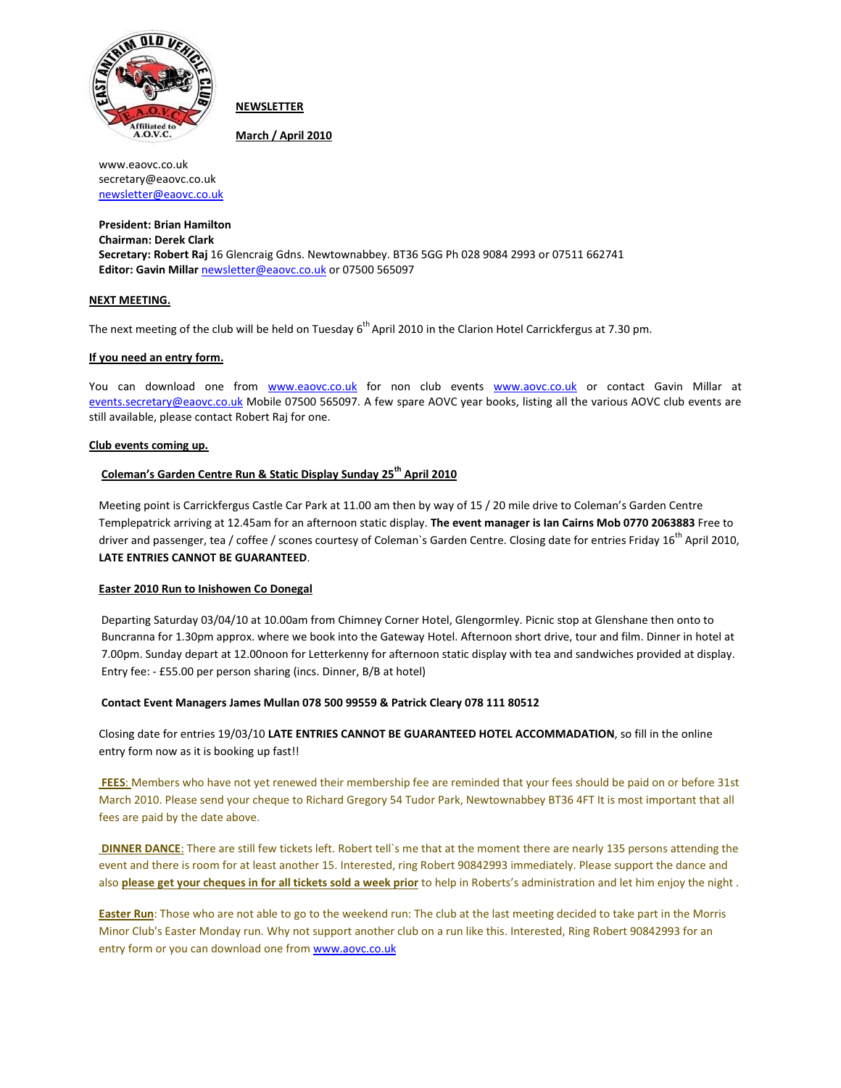

**NEWSLETTER** 

March / April 2010

www.eaovc.co.uk secretary@eaovc.co.uk newsletter@eaovc.co.uk

President: Brian Hamilton Chairman: Derek Clark Secretary: Robert Raj 16 Glencraig Gdns. Newtownabbey. BT36 5GG Ph 028 9084 2993 or 07511 662741 Editor: Gavin Millar newsletter@eaovc.co.uk or 07500 565097

# NEXT MEETING.

The next meeting of the club will be held on Tuesday 6<sup>th</sup> April 2010 in the Clarion Hotel Carrickfergus at 7.30 pm.

# If you need an entry form.

You can download one from www.eaovc.co.uk for non club events www.aovc.co.uk or contact Gavin Millar at events.secretary@eaovc.co.uk Mobile 07500 565097. A few spare AOVC year books, listing all the various AOVC club events are still available, please contact Robert Raj for one.

## Club events coming up.

# Coleman's Garden Centre Run & Static Display Sunday 25<sup>th</sup> April 2010

Meeting point is Carrickfergus Castle Car Park at 11.00 am then by way of 15 / 20 mile drive to Coleman's Garden Centre Templepatrick arriving at 12.45am for an afternoon static display. The event manager is Ian Cairns Mob 0770 2063883 Free to driver and passenger, tea / coffee / scones courtesy of Coleman's Garden Centre. Closing date for entries Friday 16<sup>th</sup> April 2010, LATE ENTRIES CANNOT BE GUARANTEED.

### Easter 2010 Run to Inishowen Co Donegal

Departing Saturday 03/04/10 at 10.00am from Chimney Corner Hotel, Glengormley. Picnic stop at Glenshane then onto to Buncranna for 1.30pm approx. where we book into the Gateway Hotel. Afternoon short drive, tour and film. Dinner in hotel at 7.00pm. Sunday depart at 12.00noon for Letterkenny for afternoon static display with tea and sandwiches provided at display. Entry fee: - £55.00 per person sharing (incs. Dinner, B/B at hotel)

### Contact Event Managers James Mullan 078 500 99559 & Patrick Cleary 078 111 80512

Closing date for entries 19/03/10 LATE ENTRIES CANNOT BE GUARANTEED HOTEL ACCOMMADATION, so fill in the online entry form now as it is booking up fast!!

FEES: Members who have not yet renewed their membership fee are reminded that your fees should be paid on or before 31st March 2010. Please send your cheque to Richard Gregory 54 Tudor Park, Newtownabbey BT36 4FT It is most important that all fees are paid by the date above.

DINNER DANCE: There are still few tickets left. Robert tell`s me that at the moment there are nearly 135 persons attending the event and there is room for at least another 15. Interested, ring Robert 90842993 immediately. Please support the dance and also please get your cheques in for all tickets sold a week prior to help in Roberts's administration and let him enjoy the night.

Easter Run: Those who are not able to go to the weekend run: The club at the last meeting decided to take part in the Morris Minor Club's Easter Monday run. Why not support another club on a run like this. Interested, Ring Robert 90842993 for an entry form or you can download one from www.aovc.co.uk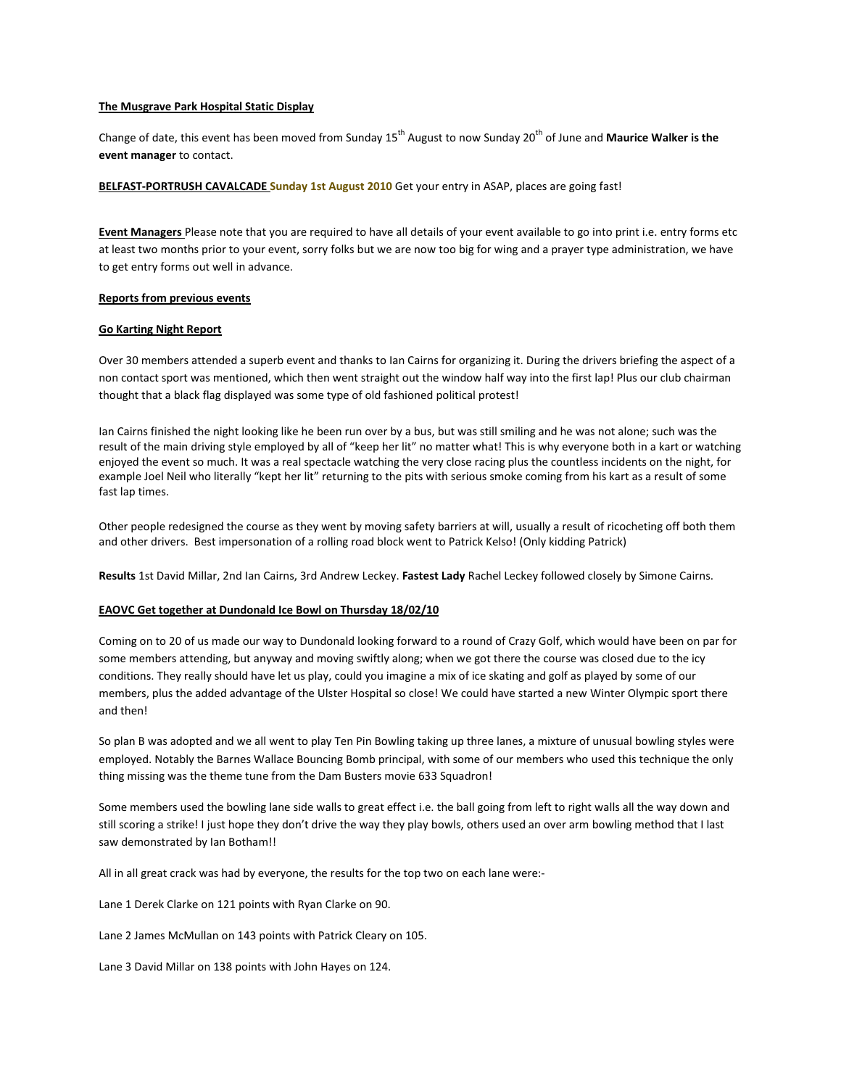# The Musgrave Park Hospital Static Display

Change of date, this event has been moved from Sunday 15<sup>th</sup> August to now Sunday 20<sup>th</sup> of June and Maurice Walker is the event manager to contact.

BELFAST-PORTRUSH CAVALCADE Sunday 1st August 2010 Get your entry in ASAP, places are going fast!

Event Managers Please note that you are required to have all details of your event available to go into print i.e. entry forms etc at least two months prior to your event, sorry folks but we are now too big for wing and a prayer type administration, we have to get entry forms out well in advance.

## Reports from previous events

## Go Karting Night Report

Over 30 members attended a superb event and thanks to Ian Cairns for organizing it. During the drivers briefing the aspect of a non contact sport was mentioned, which then went straight out the window half way into the first lap! Plus our club chairman thought that a black flag displayed was some type of old fashioned political protest!

Ian Cairns finished the night looking like he been run over by a bus, but was still smiling and he was not alone; such was the result of the main driving style employed by all of "keep her lit" no matter what! This is why everyone both in a kart or watching enjoyed the event so much. It was a real spectacle watching the very close racing plus the countless incidents on the night, for example Joel Neil who literally "kept her lit" returning to the pits with serious smoke coming from his kart as a result of some fast lap times.

Other people redesigned the course as they went by moving safety barriers at will, usually a result of ricocheting off both them and other drivers. Best impersonation of a rolling road block went to Patrick Kelso! (Only kidding Patrick)

Results 1st David Millar, 2nd Ian Cairns, 3rd Andrew Leckey. Fastest Lady Rachel Leckey followed closely by Simone Cairns.

# EAOVC Get together at Dundonald Ice Bowl on Thursday 18/02/10

Coming on to 20 of us made our way to Dundonald looking forward to a round of Crazy Golf, which would have been on par for some members attending, but anyway and moving swiftly along; when we got there the course was closed due to the icy conditions. They really should have let us play, could you imagine a mix of ice skating and golf as played by some of our members, plus the added advantage of the Ulster Hospital so close! We could have started a new Winter Olympic sport there and then!

So plan B was adopted and we all went to play Ten Pin Bowling taking up three lanes, a mixture of unusual bowling styles were employed. Notably the Barnes Wallace Bouncing Bomb principal, with some of our members who used this technique the only thing missing was the theme tune from the Dam Busters movie 633 Squadron!

Some members used the bowling lane side walls to great effect i.e. the ball going from left to right walls all the way down and still scoring a strike! I just hope they don't drive the way they play bowls, others used an over arm bowling method that I last saw demonstrated by Ian Botham!!

All in all great crack was had by everyone, the results for the top two on each lane were:-

Lane 1 Derek Clarke on 121 points with Ryan Clarke on 90.

Lane 2 James McMullan on 143 points with Patrick Cleary on 105.

Lane 3 David Millar on 138 points with John Hayes on 124.